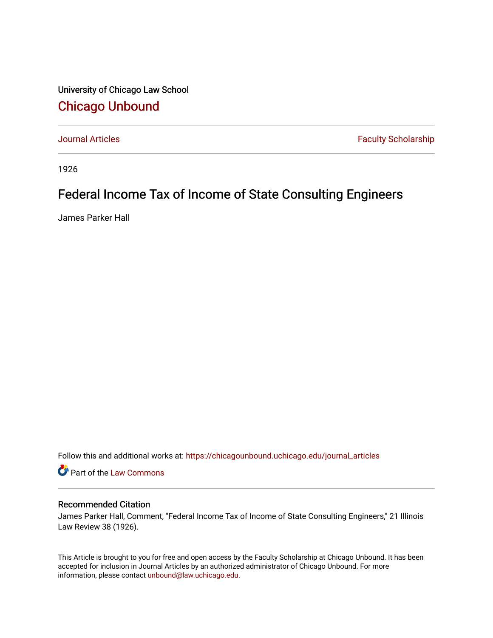University of Chicago Law School [Chicago Unbound](https://chicagounbound.uchicago.edu/)

[Journal Articles](https://chicagounbound.uchicago.edu/journal_articles) **Faculty Scholarship Faculty Scholarship** 

1926

## Federal Income Tax of Income of State Consulting Engineers

James Parker Hall

Follow this and additional works at: [https://chicagounbound.uchicago.edu/journal\\_articles](https://chicagounbound.uchicago.edu/journal_articles?utm_source=chicagounbound.uchicago.edu%2Fjournal_articles%2F9115&utm_medium=PDF&utm_campaign=PDFCoverPages) 

Part of the [Law Commons](http://network.bepress.com/hgg/discipline/578?utm_source=chicagounbound.uchicago.edu%2Fjournal_articles%2F9115&utm_medium=PDF&utm_campaign=PDFCoverPages)

## Recommended Citation

James Parker Hall, Comment, "Federal Income Tax of Income of State Consulting Engineers," 21 Illinois Law Review 38 (1926).

This Article is brought to you for free and open access by the Faculty Scholarship at Chicago Unbound. It has been accepted for inclusion in Journal Articles by an authorized administrator of Chicago Unbound. For more information, please contact [unbound@law.uchicago.edu](mailto:unbound@law.uchicago.edu).